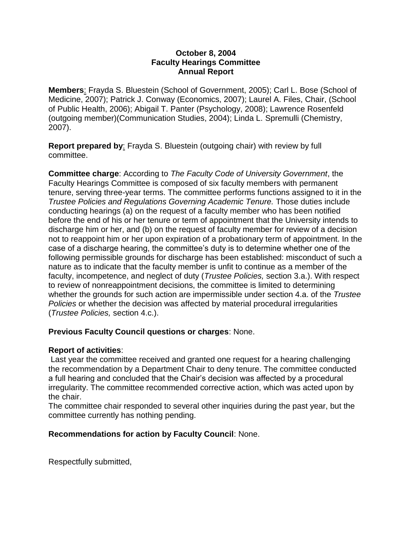## **October 8, 2004 Faculty Hearings Committee Annual Report**

**Members**: Frayda S. Bluestein (School of Government, 2005); Carl L. Bose (School of Medicine, 2007); Patrick J. Conway (Economics, 2007); Laurel A. Files, Chair, (School of Public Health, 2006); Abigail T. Panter (Psychology, 2008); Lawrence Rosenfeld (outgoing member)(Communication Studies, 2004); Linda L. Spremulli (Chemistry, 2007).

**Report prepared by**: Frayda S. Bluestein (outgoing chair) with review by full committee.

**Committee charge**: According to *The Faculty Code of University Government*, the Faculty Hearings Committee is composed of six faculty members with permanent tenure, serving three-year terms. The committee performs functions assigned to it in the *Trustee Policies and Regulations Governing Academic Tenure.* Those duties include conducting hearings (a) on the request of a faculty member who has been notified before the end of his or her tenure or term of appointment that the University intends to discharge him or her, and (b) on the request of faculty member for review of a decision not to reappoint him or her upon expiration of a probationary term of appointment. In the case of a discharge hearing, the committee's duty is to determine whether one of the following permissible grounds for discharge has been established: misconduct of such a nature as to indicate that the faculty member is unfit to continue as a member of the faculty, incompetence, and neglect of duty (*Trustee Policies,* section 3.a.). With respect to review of nonreappointment decisions, the committee is limited to determining whether the grounds for such action are impermissible under section 4.a. of the *Trustee Policies* or whether the decision was affected by material procedural irregularities (*Trustee Policies,* section 4.c.).

## **Previous Faculty Council questions or charges**: None.

## **Report of activities**:

Last year the committee received and granted one request for a hearing challenging the recommendation by a Department Chair to deny tenure. The committee conducted a full hearing and concluded that the Chair's decision was affected by a procedural irregularity. The committee recommended corrective action, which was acted upon by the chair.

The committee chair responded to several other inquiries during the past year, but the committee currently has nothing pending.

## **Recommendations for action by Faculty Council**: None.

Respectfully submitted,